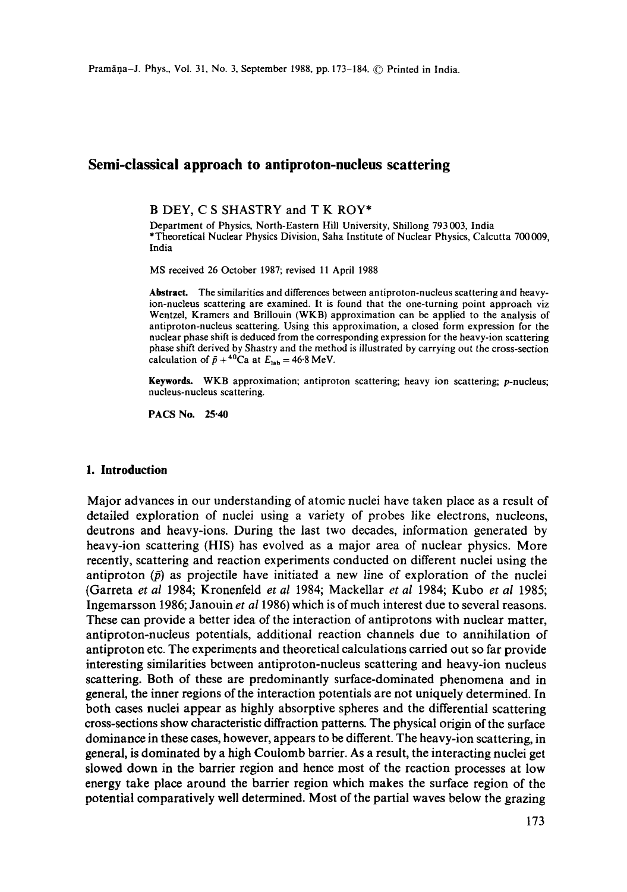# Semi-classical approach to antiproton-nueleus scattering

**B DEY, C S** SHASTRY and **T K ROY\*** 

Department of Physics, North-Eastern Hill University, Shillong 793 003, India \*Theoretical Nuclear Physics Division, Saha Institute of Nuclear Physics, Calcutta 700 009, India

MS received 26 October 1987; revised 11 April 1988

Abstract. The similarities and differences between antiproton-nucleus scattering and heavyion-nucleus scattering are examined. It is found that the one-turning point approach viz Wentzel, Kramers and Brillouin (WKB) approximation can be applied to the analysis of antiproton-nucleus scattering. Using this approximation, a closed form expression for the nuclear phase shift is deduced from the corresponding expression for the heavy-ion scattering phase shift derived by Shastry and the method is illustrated by carrying out the cross-section calculation of  $\bar{p} + {}^{40}Ca$  at  $E_{lab} = 46.8$  MeV.

**Keywords.** WKB approximation; antiproton scattering; heavy ion scattering; p-nucleus; nucleus-nucleus scattering.

PACS No. 25.40

#### **1. Introduction**

Major advances in our understanding of atomic nuclei have taken place as a result of detailed exploration of nuclei using a variety of probes like electrons, nucleons, deutrons and heavy-ions. During the last two decades, information generated by heavy-ion scattering (HIS) has evolved as a major area of nuclear physics. More recently, scattering and reaction experiments conducted on different nuclei using the antiproton  $(\bar{p})$  as projectile have initiated a new line of exploration of the nuclei (Garreta *et al* 1984; Kronenfeld *et al* 1984; Mackellar *et al* 1984; Kubo *et al* 1985; Ingemarsson 1986; Janouin *et a11986)* which is of much interest due to several reasons. These can provide a better idea of the interaction of antiprotons with nuclear matter, antiproton-nucleus potentials, additional reaction channels due to annihilation of antiproton etc. The experiments and theoretical calculations carried out so far provide interesting similarities between antiproton-nucleus scattering and heavy-ion nucleus scattering. Both of these are predominantly surface-dominated phenomena and in general, the inner regions of the interaction potentials are not uniquely determined. In both cases nuclei appear as highly absorptive spheres and the differential scattering cross-sections show characteristic diffraction patterns. The physical origin of the surface dominance in these cases, however, appears to be different. The heavy-ion scattering, in general, is dominated by a high Coulomb barrier. As a result, the interacting nuclei get slowed down in the barrier region and hence most of the reaction processes at low energy take place around the barrier region which makes the surface region of the potential comparatively well determined. Most of the partial waves below the grazing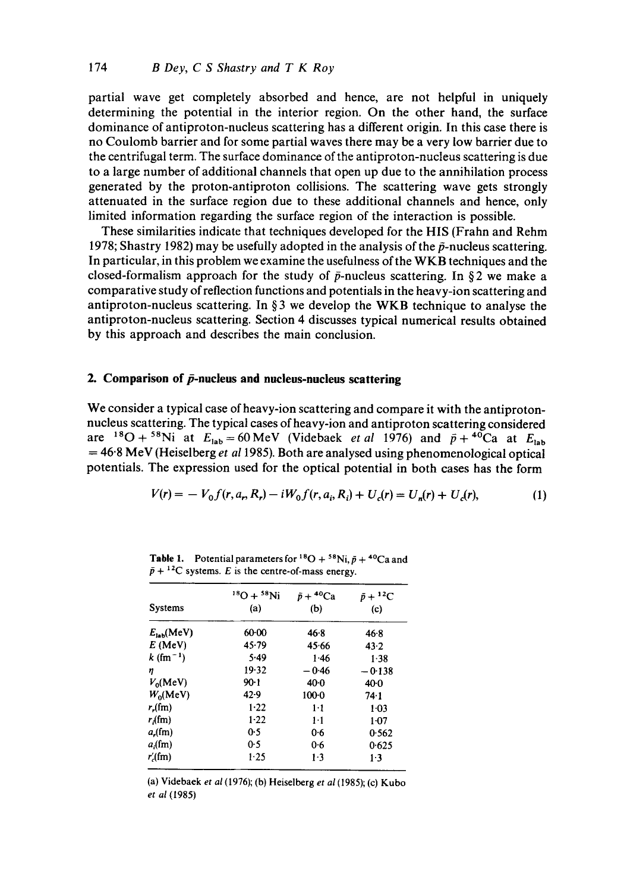partial wave get completely absorbed and hence, are not helpful in uniquely determining the potential in the interior region. On the other hand, the surface dominance of antiproton-nucleus scattering has a different origin. In this case there is no Coulomb barrier and for some partial waves there may be a very low barrier due to the centrifugal term. The surface dominance of the antiproton-nucleus scattering is due to a large number of additional channels that open up due to the annihilation process generated by the proton-antiproton collisions. The scattering wave gets strongly attenuated in the surface region due to these additional channels and hence, only limited information regarding the surface region of the interaction is possible.

These similarities indicate that techniques developed for the HIS (Frahn and Rehm 1978; Shastry 1982) may be usefully adopted in the analysis of the  $\bar{p}$ -nucleus scattering. In particular, in this problem we examine the usefulness of the WKB techniques and the closed-formalism approach for the study of  $\bar{p}$ -nucleus scattering. In §2 we make a comparative study of reflection functions and potentials in the heavy-ion scattering and antiproton-nucleus scattering. In  $\S$ 3 we develop the WKB technique to analyse the antiproton-nucleus scattering. Section 4 discusses typical numerical results obtained by this approach and describes the main conclusion.

# **2.** Comparison of  $\bar{p}$ -nucleus and nucleus-nucleus scattering

We consider a typical case of heavy-ion scattering and compare it with the antiprotonnucleus scattering. The typical cases of heavy-ion and antiproton scattering considered are <sup>18</sup>O + <sup>58</sup>Ni at  $E_{lab}=60$  MeV (Videbaek *et al* 1976) and  $\bar{p}$  + <sup>40</sup>Ca at  $E_{lab}$ = 46"8 MeV (Heiselberg *et al* 1985). Both are analysed using phenomenological optical potentials. The expression used for the optical potential in both cases has the form

$$
V(r) = -V_0 f(r, a_r, R_r) - iW_0 f(r, a_i, R_i) + U_c(r) = U_n(r) + U_c(r),
$$
\n(1)

|                              | $^{18}O + ^{58}Ni$ | $\bar{p} + {}^{40}\mathrm{Ca}$ | $\bar{p}+{}^{12}C$ |  |
|------------------------------|--------------------|--------------------------------|--------------------|--|
| Systems                      | (a)                | (b)                            | (c)                |  |
| $E_{\text{int}}(\text{MeV})$ | $60-00$            | 46.8                           | 46.8               |  |
| $E$ (MeV)                    | 45.79              | 45.66                          | 43.2               |  |
| $k$ (fm <sup>-1</sup> )      | 5.49               | 1.46                           | 1.38               |  |
| η                            | 19.32              | $-0.46$                        | $-0.138$           |  |
| $V_0$ (MeV)                  | $90-1$             | 40.0                           | $40-0$             |  |
| $W_0$ (MeV)                  | 42.9               | $100-0$                        | 74.1               |  |
| $r_{\rm r}(f_{\rm m})$       | 1.22               | 1·1                            | $1 - 03$           |  |
| $r_{\rm s}(m)$               | $1-22$             | $1-1$                          | $1-07$             |  |
| $a_r$ (fm)                   | 0.5                | 0.6                            | 0.562              |  |
| $a$ (fm)                     | 0.5                | 0.6                            | 0.625              |  |
| $r'_{c}$ (fm)                | 1.25               | 1.3                            | $1-3$              |  |

**Table 1.** Potential parameters for <sup>18</sup>O + <sup>58</sup>Ni,  $\bar{p}$  + <sup>40</sup>Ca and  $\bar{p} + {}^{12}C$  systems. E is the centre-of-mass energy.

(a) Videbaek *et al* (1976); (b) Heiselberg *et al* (1985); (c) Kubo *et al* (1985)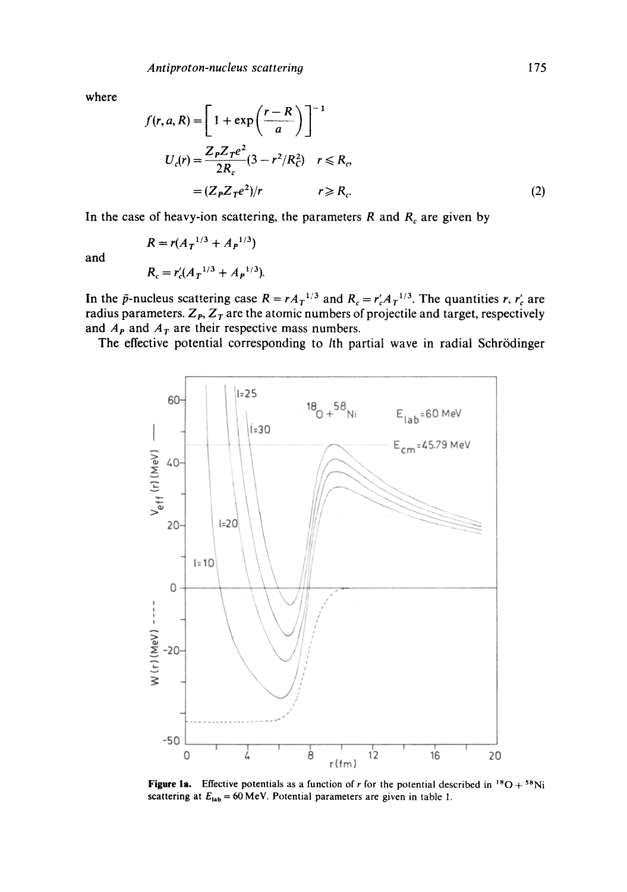where

$$
f(r, a, R) = \left[1 + \exp\left(\frac{r - R}{a}\right)\right]^{-1}
$$
  

$$
U_c(r) = \frac{Z_P Z_T e^2}{2R_c} (3 - r^2/R_c^2) \quad r \le R_c,
$$
  

$$
= (Z_P Z_T e^2)/r \qquad r \ge R_c.
$$
 (2)

In the case of heavy-ion scattering, the parameters  $R$  and  $R_c$  are given by

and

$$
R_c = r'_c (A_T^{-1/3} + A_P^{-1/3}).
$$

 $R = r(A_n^{1/3} + A_n^{1/3})$ 

In the  $\bar{p}$ -nucleus scattering case  $R = rA_T^{1/3}$  and  $R_c = r'_cA_T^{1/3}$ . The quantities r,  $r'_c$  are radius parameters.  $Z_{p}$ ,  $Z_{T}$  are the atomic numbers of projectile and target, respectively and  $A<sub>P</sub>$  and  $A<sub>T</sub>$  are their respective mass numbers.

The effective potential corresponding to *l*th partial wave in radial Schrödinger



**Figure 1a.** Effective potentials as a function of r for the potential described in  $^{18}O + ^{58}Ni$ scattering at  $E_{\text{lab}} = 60 \text{ MeV}$ . Potential parameters are given in table 1.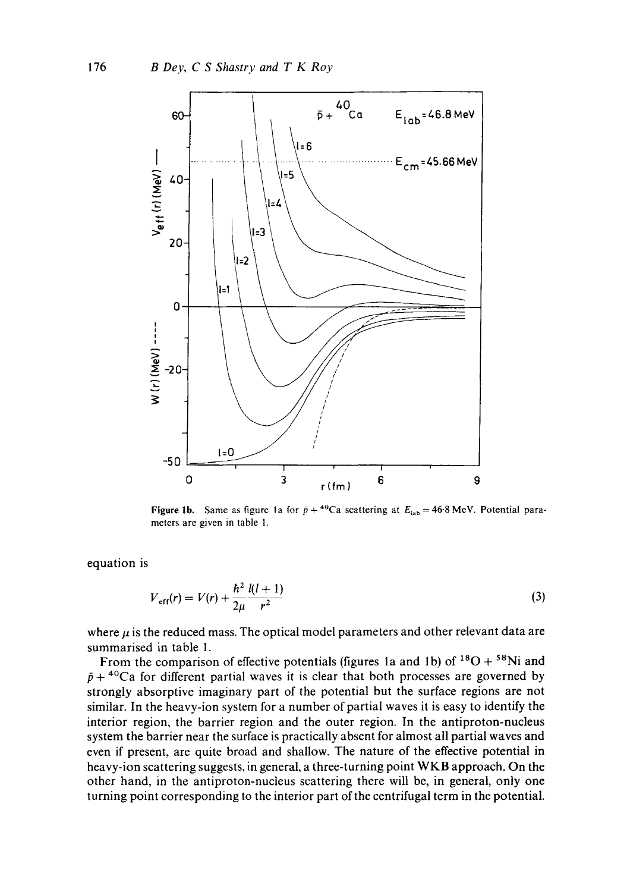

**Figure 1b.** Same as figure 1a for  $\bar{p} + {}^{40}Ca$  scattering at  $E_{\text{lab}} = 46.8 \text{ MeV}$ . Potential parameters are given in table 1.

equation is

$$
V_{\text{eff}}(r) = V(r) + \frac{\hbar^2}{2\mu} \frac{l(l+1)}{r^2}
$$
 (3)

where  $\mu$  is the reduced mass. The optical model parameters and other relevant data are summarised in table 1.

From the comparison of effective potentials (figures 1a and 1b) of  $^{18}O + ^{58}Ni$  and  $\bar{p}$  + <sup>40</sup>Ca for different partial waves it is clear that both processes are governed by strongly absorptive imaginary part of the potential but the surface regions are not similar. In the heavy-ion system for a number of partial waves it is easy to identify the interior region, the barrier region and the outer region. In the antiproton-nucleus system the barrier near the surface is practically absent for almost all partial waves and even if present, are quite broad and shallow. The nature of the effective potential in heavy-ion scattering suggests, in general, a three-turning point WKB approach. On the other hand, in the antiproton-nucleus scattering there will be, in general, only one turning point corresponding to the interior part of the centrifugal term in the potential.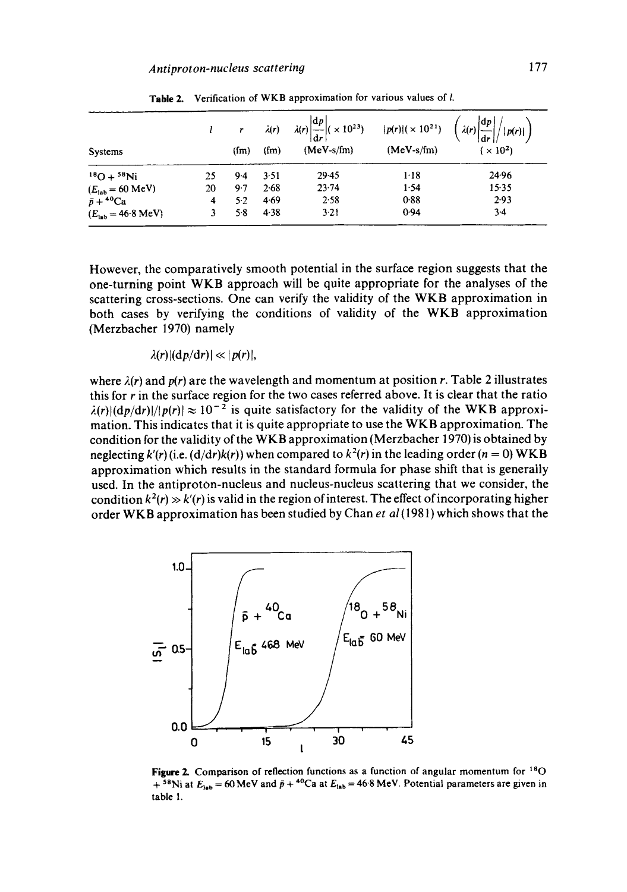|                                       |    |                   |         | $\lambda(r)$ $\lambda(r) \left  \frac{dp}{dr} \right $ ( $\times 10^{23}$ ) $ p(r) $ ( $\times 10^{21}$ ) $\left( \lambda(r) \left  \frac{dp}{dr} \right  \right)$ |              | $\vert p(r)\vert \vert$ |
|---------------------------------------|----|-------------------|---------|--------------------------------------------------------------------------------------------------------------------------------------------------------------------|--------------|-------------------------|
| Systems                               |    | (f <sub>m</sub> ) | $(f_m)$ | $(MeV-s/fm)$                                                                                                                                                       | $(MeV-s/fm)$ | $(x 10^2)$              |
| $^{18}O + ^{58}Ni$                    | 25 | $9-4$             | 3.51    | $29-45$                                                                                                                                                            | $1-18$       | 24.96                   |
| $(E_{\text{lab}} = 60 \text{ MeV})$   | 20 | $9-7$             | 2.68    | 23.74                                                                                                                                                              | 1.54         | 15.35                   |
| $\bar{p} + {}^{40}\mathrm{Ca}$        | 4  | $5-2$             | 4.69    | 2.58                                                                                                                                                               | 0.88         | 2.93                    |
| $(E_{\text{lab}} = 46.8 \text{ MeV})$ |    | 5.8               | 4.38    | $3 - 21$                                                                                                                                                           | 0.94         | $3-4$                   |

Table 2. Verification of WKB approximation for various values of I.

However, the comparatively smooth potential in the surface region suggests that the one-turning point WKB approach will be quite appropriate for the analyses of the scattering cross-sections. One can verify the validity of the WKB approximation in both cases by verifying the conditions of validity of the WKB approximation (Merzbacher 1970) namely

 $\lambda(r) |(\mathrm{d} p/\mathrm{d} r)| \ll |p(r)|$ ,

where  $\lambda(r)$  and  $p(r)$  are the wavelength and momentum at position r. Table 2 illustrates this for  $r$  in the surface region for the two cases referred above. It is clear that the ratio  $\lambda(r)|(\frac{dp}{dr})|/|p(r)| \approx 10^{-2}$  is quite satisfactory for the validity of the WKB approximation. This indicates that it is quite appropriate to use the WKB approximation. The condition for the validity of the WKB approximation (Merzbacher 1970) is obtained by neglecting  $k'(r)$  (i.e.  $(d/dr)k(r)$ ) when compared to  $k^2(r)$  in the leading order (n = 0) WKB approximation which results in the standard formula for phase shift that is generally used. In the antiproton-nucleus and nucleus-nucleus scattering that we consider, the condition  $k^2(r) \gg k'(r)$  is valid in the region of interest. The effect of incorporating higher order WKB approximation has been studied by Chan et al (1981) which shows that the



Figure 2. Comparison of reflection functions as a function of angular momentum for <sup>18</sup>O + <sup>58</sup>Ni at  $E_{lab}$  = 60 MeV and  $\bar{p}$  + <sup>40</sup>Ca at  $E_{lab}$  = 46.8 MeV. Potential parameters are given in **table 1.**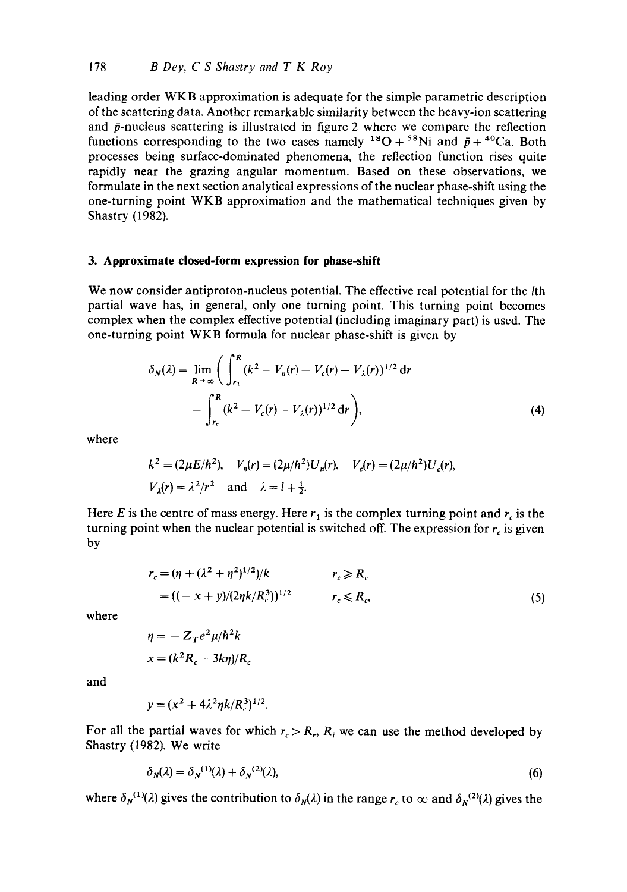leading order WKB approximation is adequate for the simple parametric description of the scattering data. Another remarkable similarity between the heavy-ion scattering and  $\bar{p}$ -nucleus scattering is illustrated in figure 2 where we compare the reflection functions corresponding to the two cases namely <sup>18</sup>O + <sup>58</sup>Ni and  $\bar{p}$  + <sup>40</sup>Ca. Both processes being surface-dominated phenomena, the reflection function rises quite rapidly near the grazing angular momentum. Based on these observations, we formulate in the next section analytical expressions of the nuclear phase-shift using the one-turning point WKB approximation and the mathematical techniques given by Shastry (1982).

#### **3. Approximate closed-form expression for phase-shift**

We now consider antiproton-nucleus potential. The effective real potential for the lth partial wave has, in general, only one turning point. This turning point becomes complex when the complex effective potential (including imaginary part) is used. The one-turning point WKB formula for nuclear phase-shift is given by

$$
\delta_N(\lambda) = \lim_{R \to \infty} \left( \int_{r_1}^R (k^2 - V_n(r) - V_c(r) - V_\lambda(r))^{1/2} \, dr - \int_{r_c}^R (k^2 - V_c(r) - V_\lambda(r))^{1/2} \, dr \right),\tag{4}
$$

where

$$
k^2 = (2\mu E/\hbar^2), V_n(r) = (2\mu/\hbar^2)U_n(r), V_c(r) = (2\mu/\hbar^2)U_c(r),
$$
  
 $V_{\lambda}(r) = \lambda^2/r^2$  and  $\lambda = l + \frac{1}{2}$ .

Here E is the centre of mass energy. Here  $r_1$  is the complex turning point and  $r_c$  is the turning point when the nuclear potential is switched off. The expression for  $r_c$  is given by

$$
r_c = (\eta + (\lambda^2 + \eta^2)^{1/2})/k \qquad \qquad r_c \ge R_c
$$
  
= ((-x + y)/(2\eta k/R\_c^3))^{1/2} \qquad \qquad r\_c \le R\_c, (5)

where

$$
\eta = -Z_T e^2 \mu / \hbar^2 k
$$

$$
x = (k^2 R_c - 3k\eta) / R_c
$$

and

$$
y = (x^2 + 4\lambda^2 \eta k / R_c^3)^{1/2}.
$$

For all the partial waves for which  $r_c > R_r$ ,  $R_i$  we can use the method developed by Shastry (1982). We write

$$
\delta_N(\lambda) = \delta_N^{(1)}(\lambda) + \delta_N^{(2)}(\lambda),\tag{6}
$$

where  $\delta_N^{(1)}(\lambda)$  gives the contribution to  $\delta_N(\lambda)$  in the range r<sub>c</sub> to  $\infty$  and  $\delta_N^{(2)}(\lambda)$  gives the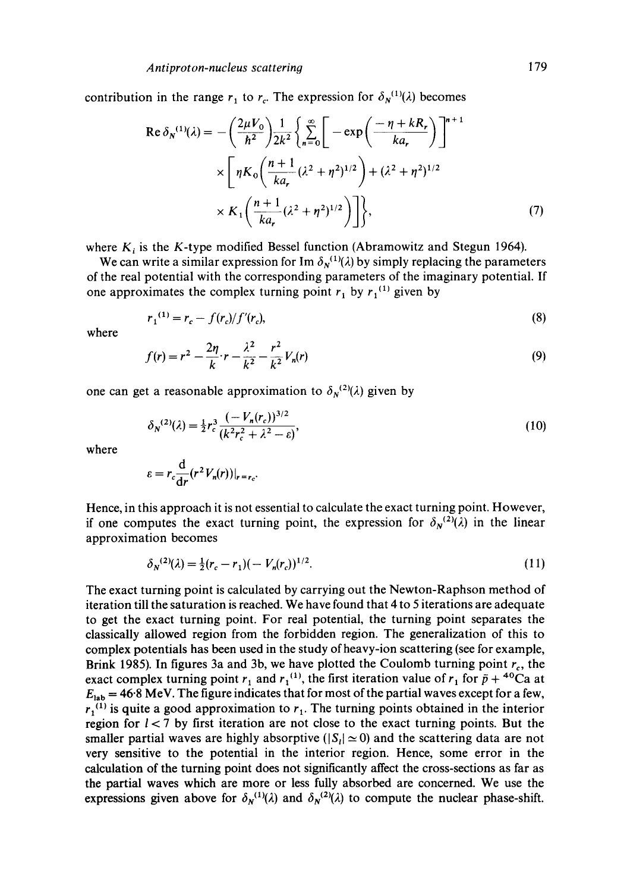contribution in the range  $r_1$  to  $r_c$ . The expression for  $\delta_N^{(1)}(\lambda)$  becomes

$$
\operatorname{Re} \delta_{N}^{(1)}(\lambda) = -\left(\frac{2\mu V_{0}}{\hbar^{2}}\right) \frac{1}{2k^{2}} \left\{\sum_{n=0}^{\infty} \left[-\exp\left(\frac{-\eta + kR_{r}}{ka_{r}}\right)\right]^{n+1} \times \left[\eta K_{0}\left(\frac{n+1}{ka_{r}}(\lambda^{2}+\eta^{2})^{1/2}\right) + (\lambda^{2}+\eta^{2})^{1/2} \right] \times K_{1}\left(\frac{n+1}{ka_{r}}(\lambda^{2}+\eta^{2})^{1/2}\right)\right\},\tag{7}
$$

where  $K_i$  is the K-type modified Bessel function (Abramowitz and Stegun 1964).

We can write a similar expression for Im  $\delta_N^{(1)}(\lambda)$  by simply replacing the parameters of the real potential with the corresponding parameters of the imaginary potential. If one approximates the complex turning point  $r_1$  by  $r_1$ <sup>(1)</sup> given by

$$
r_1^{(1)} = r_c - f(r_c)/f'(r_c),\tag{8}
$$

where

$$
f(r) = r^2 - \frac{2\eta}{k} \cdot r - \frac{\lambda^2}{k^2} - \frac{r^2}{k^2} V_n(r)
$$
\n(9)

one can get a reasonable approximation to  $\delta_N^{(2)}(\lambda)$  given by

$$
\delta_N^{(2)}(\lambda) = \frac{1}{2} r_c^3 \frac{(-V_n(r_c))^{3/2}}{(k^2 r_c^2 + \lambda^2 - \varepsilon)},
$$
\n(10)

where

$$
\varepsilon = r_c \frac{\mathrm{d}}{\mathrm{d}r} (r^2 V_n(r))|_{r=r_c}.
$$

Hence, in this approach it is not essential to calculate the exact turning point. However, if one computes the exact turning point, the expression for  $\delta_N^{(2)}(\lambda)$  in the linear approximation becomes

$$
\delta_N^{(2)}(\lambda) = \frac{1}{2}(r_c - r_1)(-V_n(r_c))^{1/2}.\tag{11}
$$

The exact turning point is calculated by carrying out the Newton-Raphson method of iteration till the saturation is reached. We have found that 4 to 5 iterations are adequate to get the exact turning point. For real potential, the turning point separates the classically allowed region from the forbidden region. The generalization of this to complex potentials has been used in the study of heavy-ion scattering (see for example, Brink 1985). In figures 3a and 3b, we have plotted the Coulomb turning point  $r_c$ , the exact complex turning point  $r_1$  and  $r_1^{(1)}$ , the first iteration value of  $r_1$  for  $\bar{p} + {}^{40}Ca$  at  $E_{\rm lab} = 46.8$  MeV. The figure indicates that for most of the partial waves except for a few,  $r_1^{(1)}$  is quite a good approximation to  $r_1$ . The turning points obtained in the interior region for  $l < 7$  by first iteration are not close to the exact turning points. But the smaller partial waves are highly absorptive ( $|S_i| \approx 0$ ) and the scattering data are not very sensitive to the potential in the interior region. Hence, some error in the calculation of the turning point does not significantly affect the cross-sections as far as the partial waves which are more or less fully absorbed are concerned. We use the expressions given above for  $\delta_{N}^{(1)}(\lambda)$  and  $\delta_{N}^{(2)}(\lambda)$  to compute the nuclear phase-shift.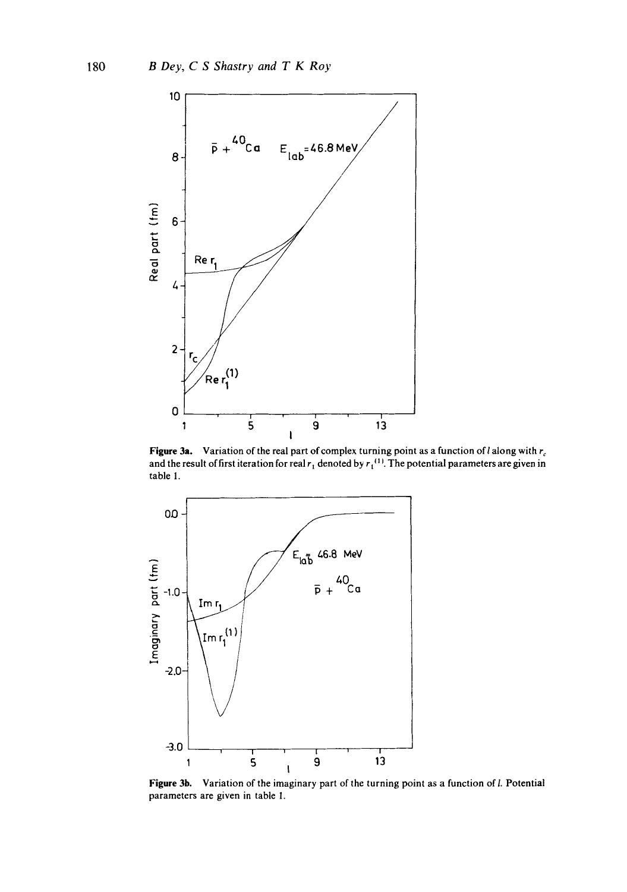

**Figure 3a.** Variation of the real part of complex turning point as a function of l along with  $r_c$ and the result of first iteration for real  $r_1$  denoted by  $r_1$ <sup>(1)</sup>. The potential parameters are given in table 1.



Figure 3b. Variation of the imaginary part of the turning point as a function of *l.* Potential parameters are given in table 1.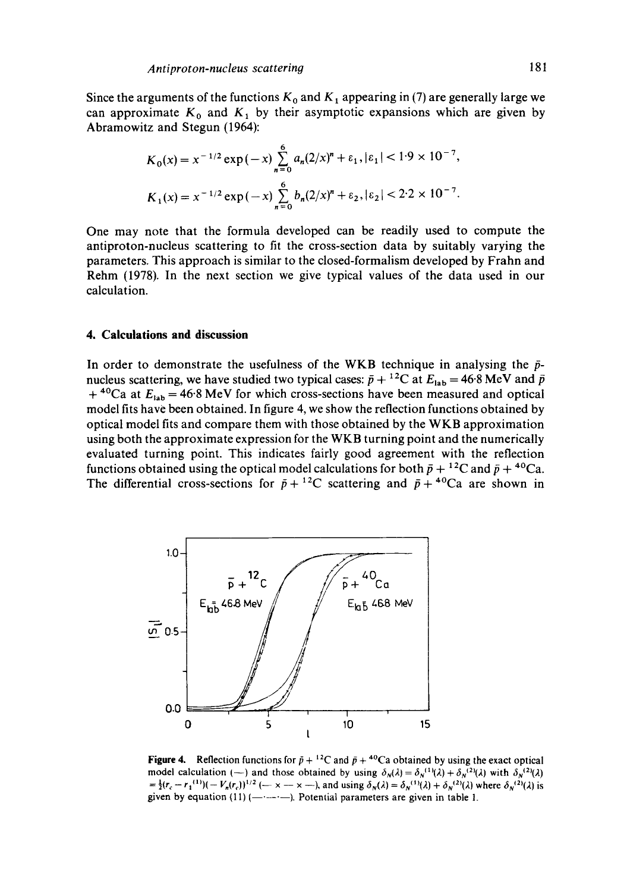Since the arguments of the functions  $K_0$  and  $K_1$  appearing in (7) are generally large we can approximate  $K_0$  and  $K_1$  by their asymptotic expansions which are given by Abramowitz and Stegun (1964):

$$
K_0(x) = x^{-1/2} \exp(-x) \sum_{n=0}^{6} a_n (2/x)^n + \varepsilon_1, |\varepsilon_1| < 1.9 \times 10^{-7},
$$
  

$$
K_1(x) = x^{-1/2} \exp(-x) \sum_{n=0}^{6} b_n (2/x)^n + \varepsilon_2, |\varepsilon_2| < 2.2 \times 10^{-7}.
$$

One may note that the formula developed can be readily used to compute the antiproton-nucleus scattering to fit the cross-section data by suitably varying the parameters. This approach is similar to the closed-formalism developed by Frahn and Rehm (1978). In the next section we give typical values of the data used in our calculation.

## **4. Calculations and discussion**

In order to demonstrate the usefulness of the WKB technique in analysing the  $\bar{p}$ nucleus scattering, we have studied two typical cases:  $\bar{p} + {}^{12}C$  at  $E_{lab} = 46.8$  MeV and  $\bar{p}$ + <sup>40</sup>Ca at  $E_{lab}$  = 46.8 MeV for which cross-sections have been measured and optical model fits have been obtained. In figure 4, we show the reflection functions obtained by optical model fits and compare them with those obtained by the WKB approximation using both the approximate expression for the WKB turning point and the numerically evaluated turning point. This indicates fairly good agreement with the reflection functions obtained using the optical model calculations for both  $\bar{p} + {}^{12}C$  and  $\bar{p} + {}^{40}Ca$ . The differential cross-sections for  $\bar{p} + {}^{12}C$  scattering and  $\bar{p} + {}^{40}Ca$  are shown in



**Figure 4.** Reflection functions for  $\bar{p} + {}^{12}C$  and  $\bar{p} + {}^{40}Ca$  obtained by using the exact optical model calculation (--) and those obtained by using  $\delta_N(\lambda) = \delta_N^{(1)}(\lambda) + \delta_N^{(2)}(\lambda)$  with  $\delta_N^{(2)}(\lambda)$  $=\frac{1}{2}(r_c - r_1^{(1)})( - V_n(r_c))^{1/2}$  (-- x -- x --), and using  $\delta_N(\lambda) = \delta_N^{(1)}(\lambda) + \delta_N^{(2)}(\lambda)$  where  $\delta_N^{(2)}(\lambda)$  is given by equation (11) ( $-\rightarrow$  ). Potential parameters are given in table 1.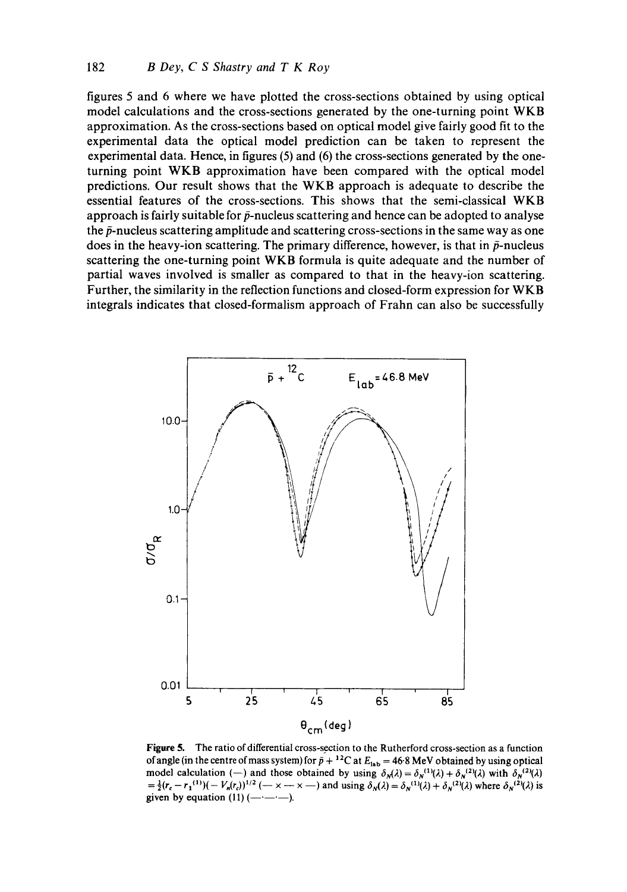figures 5 and 6 where we have plotted the cross-sections obtained by using optical model calculations and the cross-sections generated by the one-turning point WKB approximation. As the cross-sections based on optical model give fairly good fit to the experimental data the optical model prediction can be taken to represent the experimental data. Hence, in figures (5) and (6) the cross-sections generated by the oneturning point WKB approximation have been compared with the optical model predictions. Our result shows that the WKB approach is adequate to describe the essential features of the cross-sections. This shows that the semi-classical WKB approach is fairly suitable for  $\bar{p}$ -nucleus scattering and hence can be adopted to analyse the  $\bar{p}$ -nucleus scattering amplitude and scattering cross-sections in the same way as one does in the heavy-ion scattering. The primary difference, however, is that in  $\bar{p}$ -nucleus scattering the one-turning point WKB formula is quite adequate and the number of partial waves involved is smaller as compared to that in the heavy-ion scattering. Further, the similarity in the reflection functions and closed-form expression for WKB integrals indicates that closed-formalism approach of Frahn can also be successfully



Figure 5. The ratio of differential cross-section to the Rutherford cross-section as a function of angle (in the centre of mass system) for  $\bar{p} + {}^{12}C$  at  $E_{lab} = 46.8$  MeV obtained by using optical model calculation (--) and those obtained by using  $\delta_N(\lambda) = \delta_N^{(1)}(\lambda) + \delta_N^{(2)}(\lambda)$  with  $\delta_N^{(2)}(\lambda)$  $=\frac{1}{2}(r_c - r_1^{(1)})(-V_n(r_c))^{1/2}$  (-x -- x --) and using  $\delta_N(\lambda) = \delta_N^{(1)}(\lambda) + \delta_N^{(2)}(\lambda)$  where  $\delta_N^{(2)}(\lambda)$  is given by equation  $(11)$  ( $-$ ).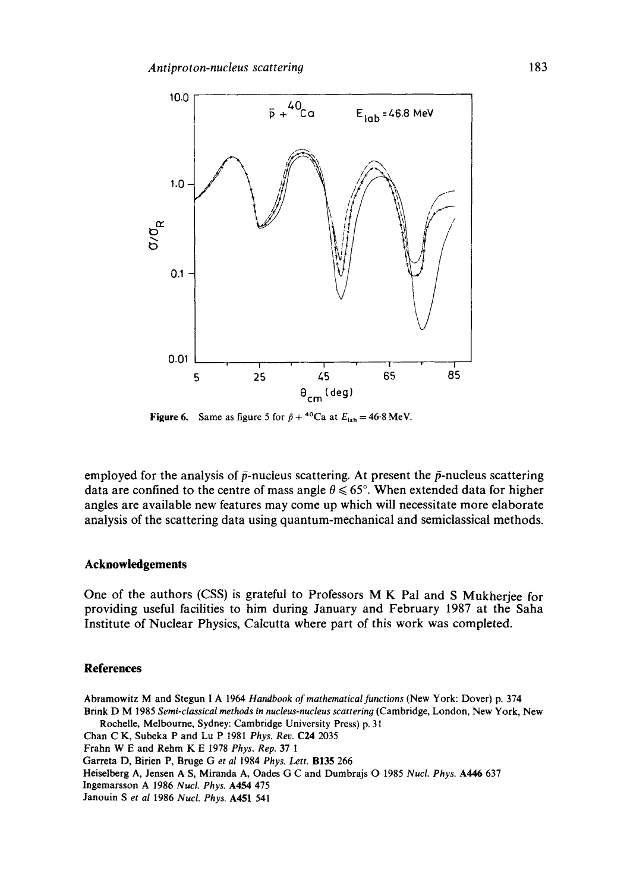

**Figure 6.** Same as figure 5 for  $\bar{p} + {}^{40}Ca$  at  $E_{lab} = 46.8$  MeV.

employed for the analysis of  $\bar{p}$ -nucleus scattering. At present the  $\bar{p}$ -nucleus scattering data are confined to the centre of mass angle  $\theta \le 65^\circ$ . When extended data for higher angles are available new features may come up which will necessitate more elaborate analysis of the scattering data using quantum-mechanical and semiclassical methods.

#### **Acknowledgements**

One of the authors (CSS) is grateful to Professors M K Pal and S Mukherjee for providing useful facilities to him during January and February 1987 at the Saha Institute of Nuclear Physics, Calcutta where part of this work was completed.

### **References**

Abramowitz M and Stegun I A 1964 *Handbook of raathematical functions* (New York: Dover) p. 374 Brink D M 1985 *Semi-classical methods in nucleus-nucleus scattering* (Cambridge, London, New York, New Rochelle, Melbourne, Sydney: Cambridge University Press) p. 31 Chan C K, Subeka P and Lu P 1981 *Phys. Rev.* C24 2035 Frahn W E and Rehm K E 1978 *Phys. Rep.* 37 1 Garreta D, Birien P, Bruge Get *al* 1984 *Phys. Lett.* B135 266 Heiselberg A, Jensen A S, Miranda A, Oades G C and Dumbrajs O 1985 *Nucl. Phys.* A446 637 Ingemarsson A 1986 *NucL Phys.* A454 475 Janouin S *et al* 1986 *Nucl. Phys.* A451 541